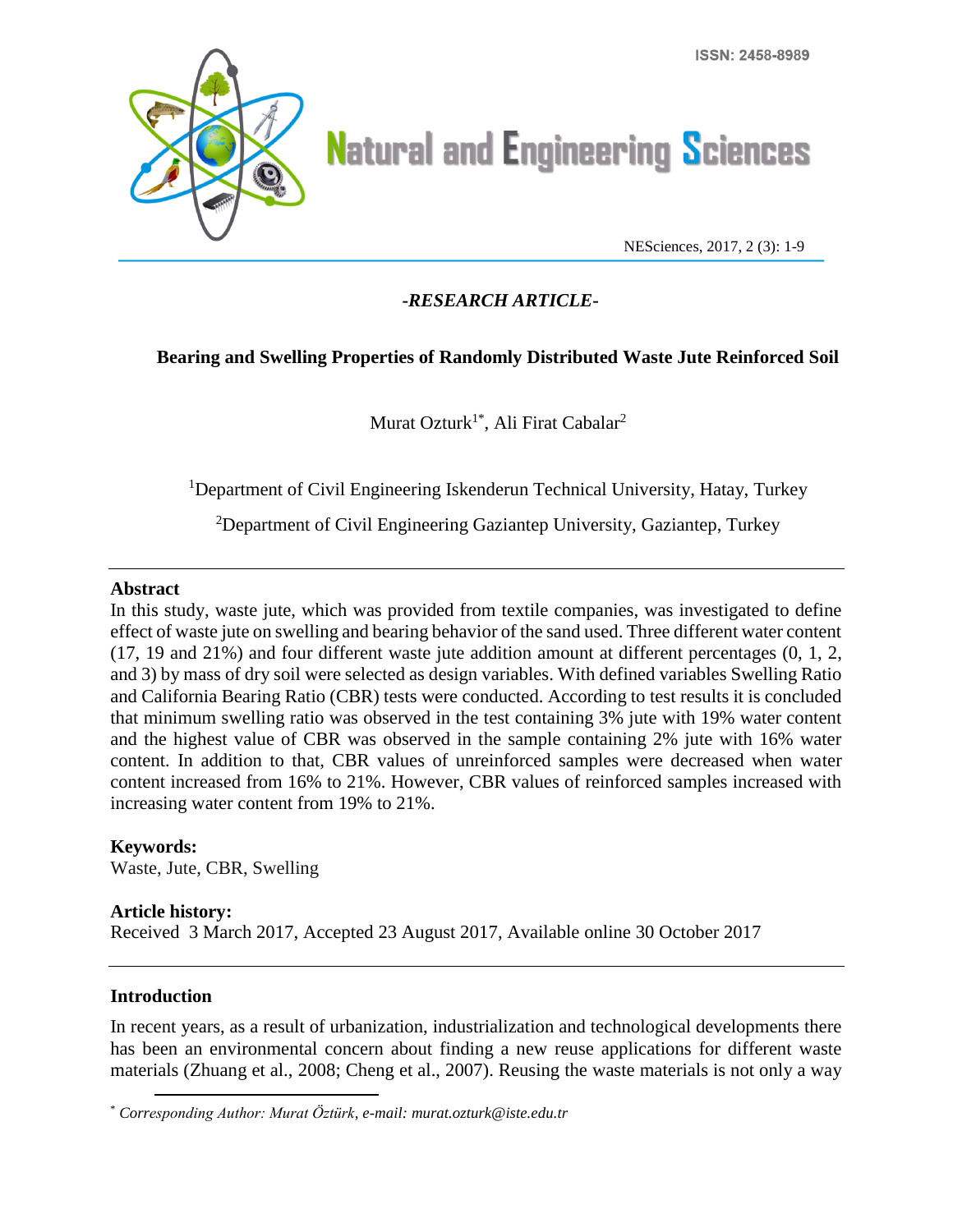

# **Natural and Engineering Sciences**

NESciences, 2017, 2 (3): 1-9

# **-***RESEARCH ARTICLE***-**

# **Bearing and Swelling Properties of Randomly Distributed Waste Jute Reinforced Soil**

Murat Ozturk<sup>1\*</sup>, Ali Firat Cabalar<sup>2</sup>

<sup>1</sup>Department of Civil Engineering Iskenderun Technical University, Hatay, Turkey

<sup>2</sup>Department of Civil Engineering Gaziantep University, Gaziantep, Turkey

### **Abstract**

In this study, waste jute, which was provided from textile companies, was investigated to define effect of waste jute on swelling and bearing behavior of the sand used. Three different water content (17, 19 and 21%) and four different waste jute addition amount at different percentages (0, 1, 2, and 3) by mass of dry soil were selected as design variables. With defined variables Swelling Ratio and California Bearing Ratio (CBR) tests were conducted. According to test results it is concluded that minimum swelling ratio was observed in the test containing 3% jute with 19% water content and the highest value of CBR was observed in the sample containing 2% jute with 16% water content. In addition to that, CBR values of unreinforced samples were decreased when water content increased from 16% to 21%. However, CBR values of reinforced samples increased with increasing water content from 19% to 21%.

### **Keywords:**

Waste, Jute, CBR, Swelling

#### **Article history:**

Received 3 March 2017, Accepted 23 August 2017, Available online 30 October 2017

# **Introduction**

 $\overline{a}$ 

In recent years, as a result of urbanization, industrialization and technological developments there has been an environmental concern about finding a new reuse applications for different waste materials (Zhuang et al., 2008; Cheng et al., 2007). Reusing the waste materials is not only a way

<sup>\*</sup> *Corresponding Author: Murat Öztürk, e-mail: murat.ozturk@iste.edu.tr*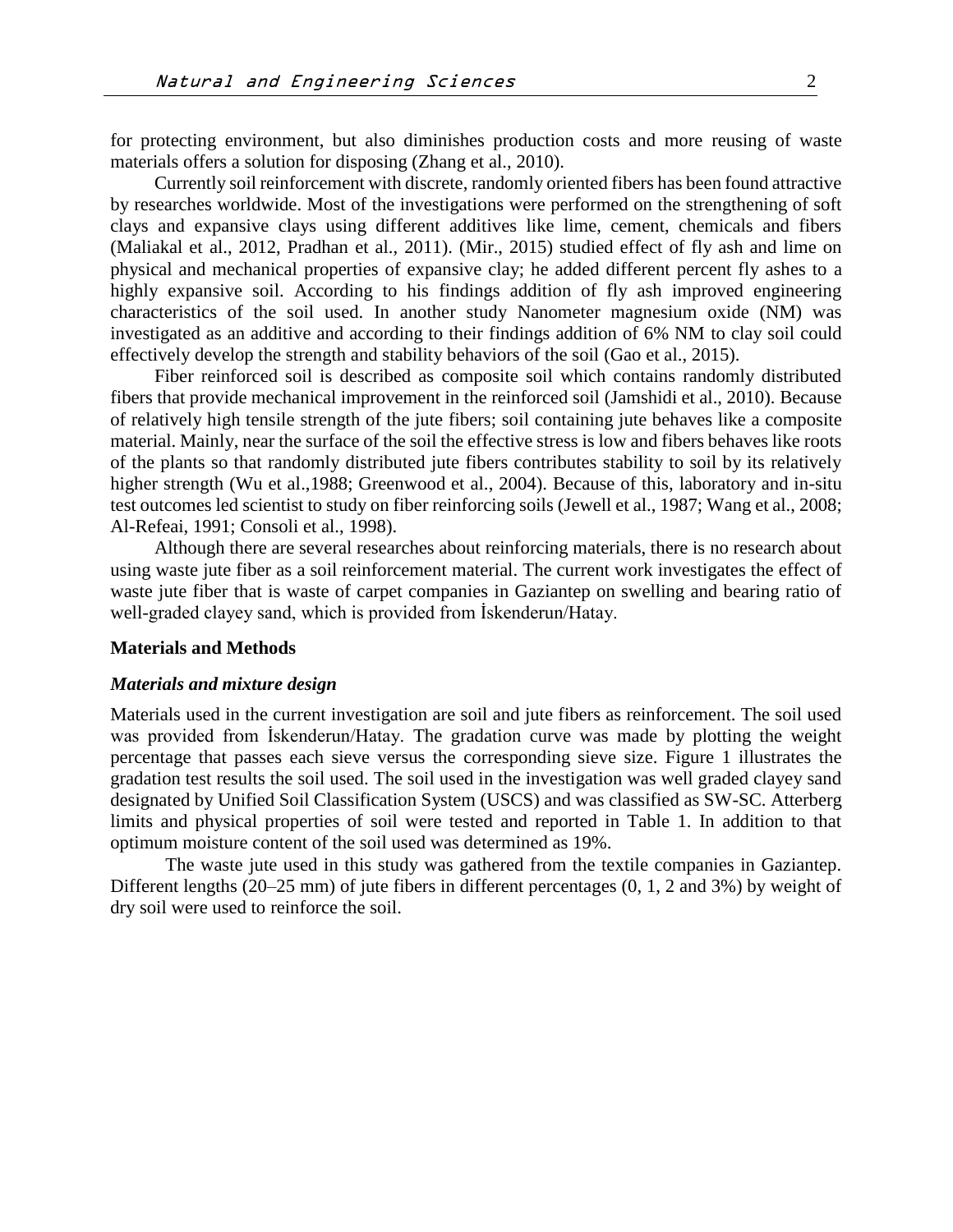for protecting environment, but also diminishes production costs and more reusing of waste materials offers a solution for disposing (Zhang et al., 2010).

Currently soil reinforcement with discrete, randomly oriented fibers has been found attractive by researches worldwide. Most of the investigations were performed on the strengthening of soft clays and expansive clays using different additives like lime, cement, chemicals and fibers (Maliakal et al., 2012, Pradhan et al., 2011). (Mir., 2015) studied effect of fly ash and lime on physical and mechanical properties of expansive clay; he added different percent fly ashes to a highly expansive soil. According to his findings addition of fly ash improved engineering characteristics of the soil used. In another study Nanometer magnesium oxide (NM) was investigated as an additive and according to their findings addition of 6% NM to clay soil could effectively develop the strength and stability behaviors of the soil (Gao et al., 2015).

Fiber reinforced soil is described as composite soil which contains randomly distributed fibers that provide mechanical improvement in the reinforced soil (Jamshidi et al., 2010). Because of relatively high tensile strength of the jute fibers; soil containing jute behaves like a composite material. Mainly, near the surface of the soil the effective stress is low and fibers behaves like roots of the plants so that randomly distributed jute fibers contributes stability to soil by its relatively higher strength (Wu et al.,1988; Greenwood et al., 2004). Because of this, laboratory and in-situ test outcomes led scientist to study on fiber reinforcing soils (Jewell et al., 1987; Wang et al., 2008; Al-Refeai, 1991; Consoli et al., 1998).

Although there are several researches about reinforcing materials, there is no research about using waste jute fiber as a soil reinforcement material. The current work investigates the effect of waste jute fiber that is waste of carpet companies in Gaziantep on swelling and bearing ratio of well-graded clayey sand, which is provided from İskenderun/Hatay.

#### **Materials and Methods**

# *Materials and mixture design*

Materials used in the current investigation are soil and jute fibers as reinforcement. The soil used was provided from İskenderun/Hatay. The gradation curve was made by plotting the weight percentage that passes each sieve versus the corresponding sieve size. Figure 1 illustrates the gradation test results the soil used. The soil used in the investigation was well graded clayey sand designated by Unified Soil Classification System (USCS) and was classified as SW-SC. Atterberg limits and physical properties of soil were tested and reported in Table 1. In addition to that optimum moisture content of the soil used was determined as 19%.

The waste jute used in this study was gathered from the textile companies in Gaziantep. Different lengths (20–25 mm) of jute fibers in different percentages (0, 1, 2 and 3%) by weight of dry soil were used to reinforce the soil.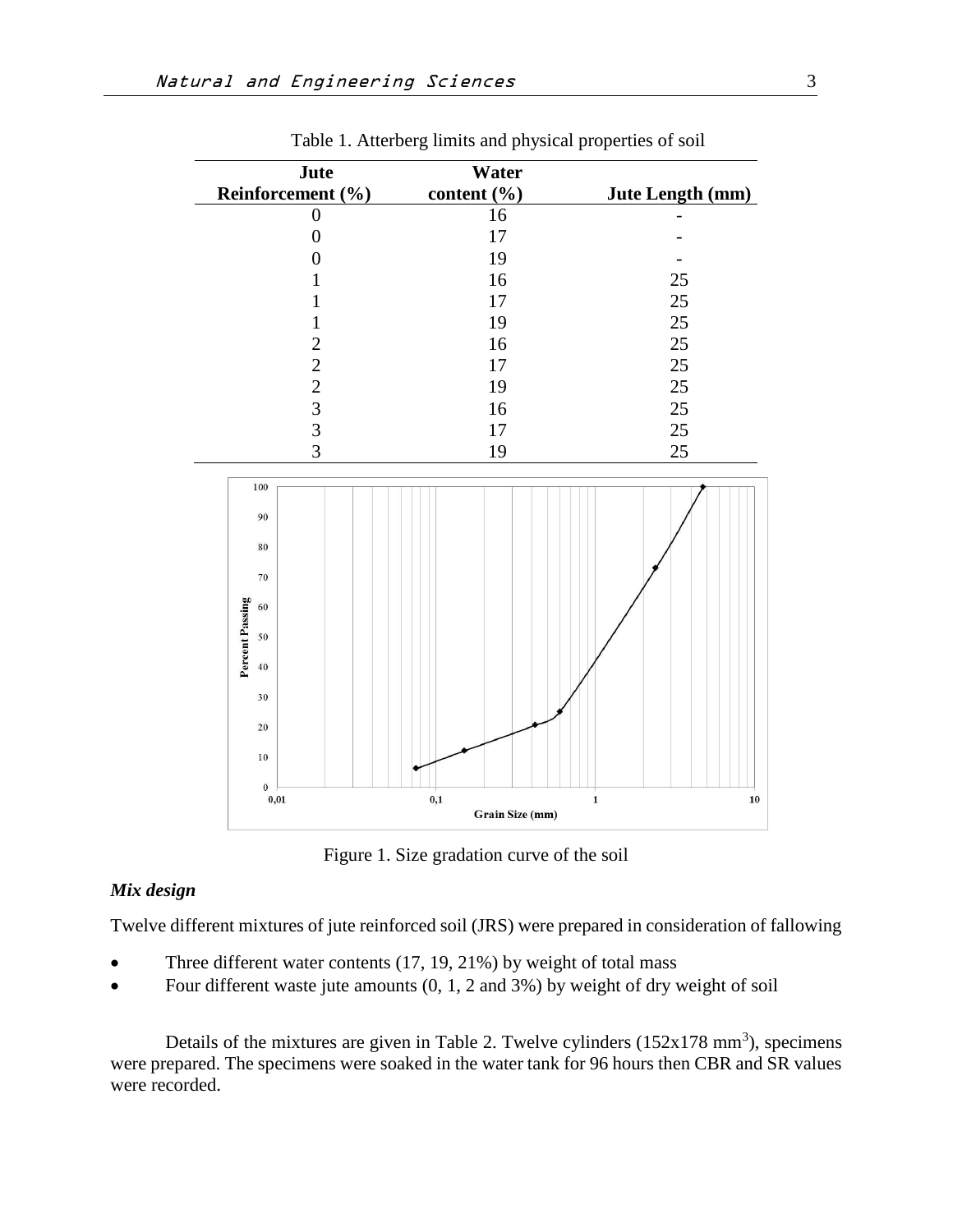| Jute                                                                                         | Water                             |                            |
|----------------------------------------------------------------------------------------------|-----------------------------------|----------------------------|
| Reinforcement (%)                                                                            | content (%)                       | Jute Length (mm)           |
| $\boldsymbol{0}$                                                                             | 16                                |                            |
| $\boldsymbol{0}$                                                                             | 17                                |                            |
| $\boldsymbol{0}$                                                                             | 19                                |                            |
| $\mathbf{1}$                                                                                 | 16                                | 25                         |
| $\mathbf 1$                                                                                  | $17\,$                            | 25                         |
| $\mathbf 1$                                                                                  | 19                                | 25                         |
|                                                                                              | 16                                | 25                         |
|                                                                                              | $17\,$                            | 25                         |
|                                                                                              | 19                                | 25                         |
| $\begin{array}{c}\n2 \\ 2 \\ 3 \\ 3\n\end{array}$                                            | 16                                | 25                         |
|                                                                                              | 17                                | 25                         |
| $\overline{3}$                                                                               | 19                                | 25                         |
| 100<br>90<br>80<br>70<br>Percent Passing<br>60<br>50<br>40<br>30<br>20<br>10<br>$\mathbf{0}$ |                                   |                            |
| $\mathbf{0{,}01}$                                                                            | $\mathbf{0,1}$<br>Grain Size (mm) | $\mathbf{1}$<br>${\bf 10}$ |

Table 1. Atterberg limits and physical properties of soil

Figure 1. Size gradation curve of the soil

# *Mix design*

Twelve different mixtures of jute reinforced soil (JRS) were prepared in consideration of fallowing

- Three different water contents (17, 19, 21%) by weight of total mass
- Four different waste jute amounts  $(0, 1, 2, 2, 3)$  by weight of dry weight of soil

Details of the mixtures are given in Table 2. Twelve cylinders  $(152x178 \text{ mm}^3)$ , specimens were prepared. The specimens were soaked in the water tank for 96 hours then CBR and SR values were recorded.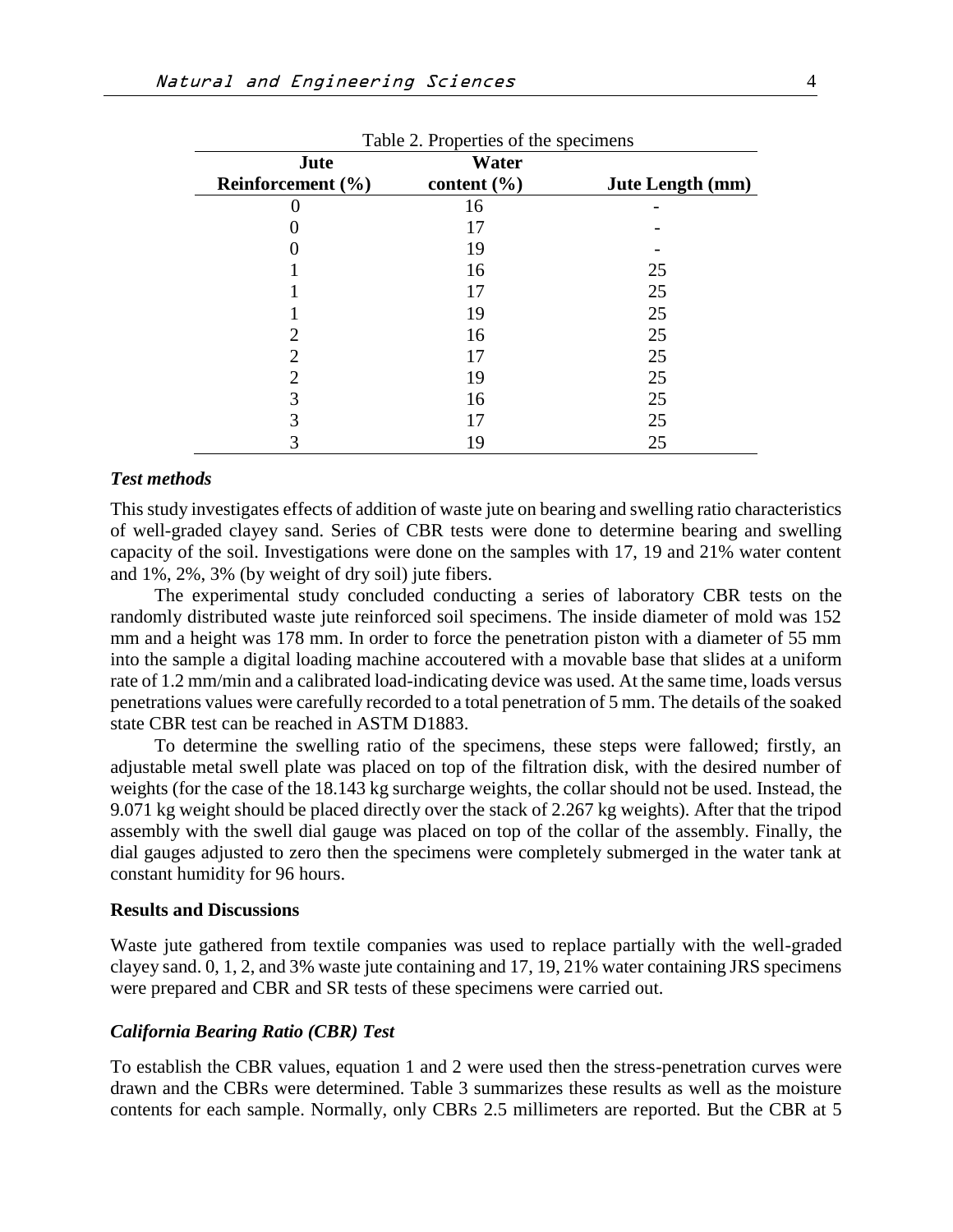| Table 2. Properties of the specimens |                 |                  |  |  |
|--------------------------------------|-----------------|------------------|--|--|
| Jute                                 | Water           |                  |  |  |
| Reinforcement $(\% )$                | content $(\% )$ | Jute Length (mm) |  |  |
|                                      | 16              |                  |  |  |
|                                      | 17              |                  |  |  |
|                                      | 19              |                  |  |  |
|                                      | 16              | 25               |  |  |
|                                      | 17              | 25               |  |  |
|                                      | 19              | 25               |  |  |
|                                      | 16              | 25               |  |  |
| $\mathcal{D}_{\mathcal{L}}$          | 17              | 25               |  |  |
| 2                                    | 19              | 25               |  |  |
| 3                                    | 16              | 25               |  |  |
| 3                                    |                 | 25               |  |  |
|                                      | 19              | 25               |  |  |

#### *Test methods*

This study investigates effects of addition of waste jute on bearing and swelling ratio characteristics of well-graded clayey sand. Series of CBR tests were done to determine bearing and swelling capacity of the soil. Investigations were done on the samples with 17, 19 and 21% water content and 1%, 2%, 3% (by weight of dry soil) jute fibers.

The experimental study concluded conducting a series of laboratory CBR tests on the randomly distributed waste jute reinforced soil specimens. The inside diameter of mold was 152 mm and a height was 178 mm. In order to force the penetration piston with a diameter of 55 mm into the sample a digital loading machine accoutered with a movable base that slides at a uniform rate of 1.2 mm/min and a calibrated load-indicating device was used. At the same time, loads versus penetrations values were carefully recorded to a total penetration of 5 mm. The details of the soaked state CBR test can be reached in ASTM D1883.

To determine the swelling ratio of the specimens, these steps were fallowed; firstly, an adjustable metal swell plate was placed on top of the filtration disk, with the desired number of weights (for the case of the 18.143 kg surcharge weights, the collar should not be used. Instead, the 9.071 kg weight should be placed directly over the stack of 2.267 kg weights). After that the tripod assembly with the swell dial gauge was placed on top of the collar of the assembly. Finally, the dial gauges adjusted to zero then the specimens were completely submerged in the water tank at constant humidity for 96 hours.

#### **Results and Discussions**

Waste jute gathered from textile companies was used to replace partially with the well-graded clayey sand. 0, 1, 2, and 3% waste jute containing and 17, 19, 21% water containing JRS specimens were prepared and CBR and SR tests of these specimens were carried out.

#### *California Bearing Ratio (CBR) Test*

To establish the CBR values, equation 1 and 2 were used then the stress-penetration curves were drawn and the CBRs were determined. Table 3 summarizes these results as well as the moisture contents for each sample. Normally, only CBRs 2.5 millimeters are reported. But the CBR at 5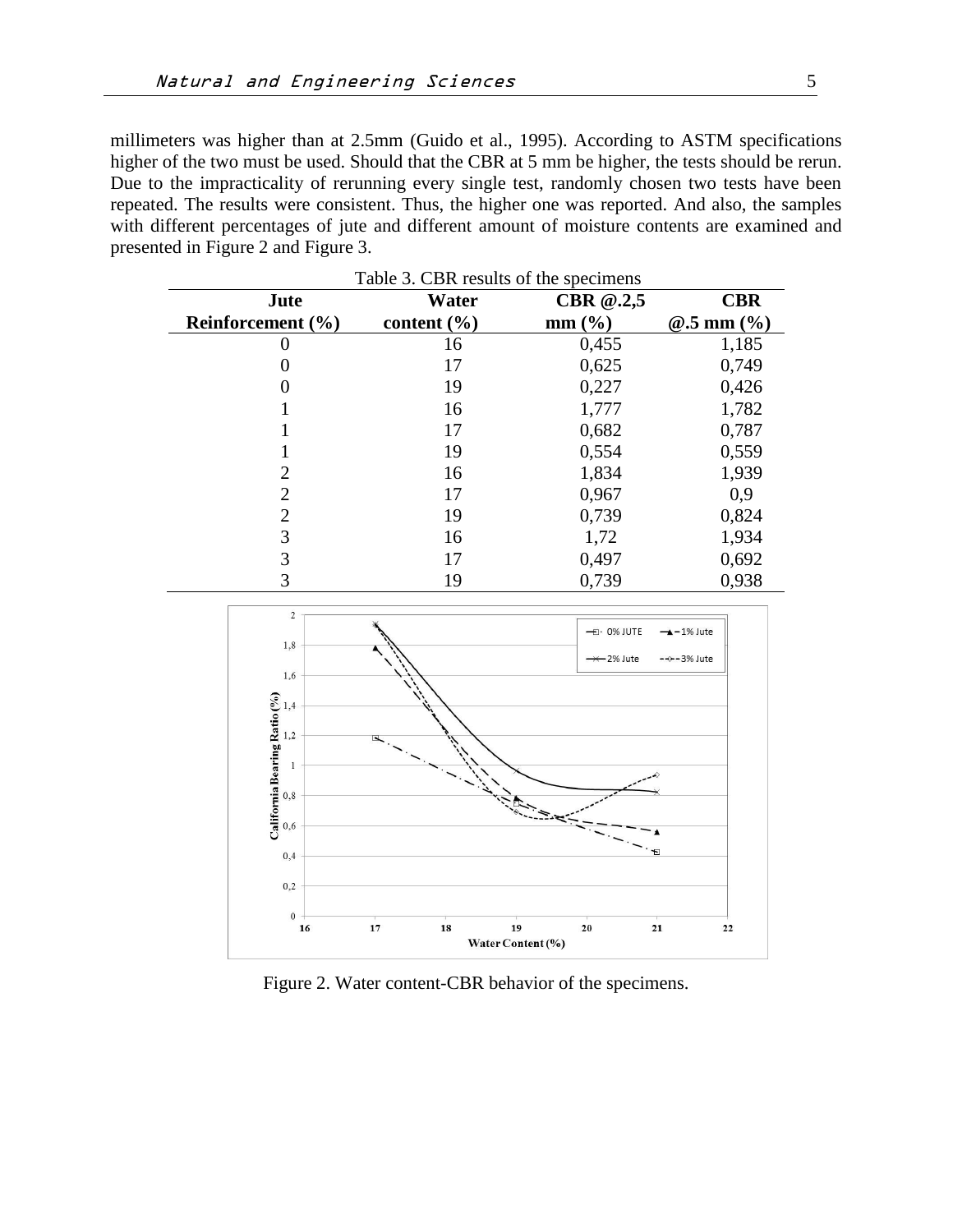millimeters was higher than at 2.5mm (Guido et al., 1995). According to ASTM specifications higher of the two must be used. Should that the CBR at 5 mm be higher, the tests should be rerun. Due to the impracticality of rerunning every single test, randomly chosen two tests have been repeated. The results were consistent. Thus, the higher one was reported. And also, the samples with different percentages of jute and different amount of moisture contents are examined and presented in Figure 2 and Figure 3.

| Table 3. CBR results of the specimens |                 |             |                  |  |
|---------------------------------------|-----------------|-------------|------------------|--|
| Jute                                  | Water           | CBR $@.2,5$ | <b>CBR</b>       |  |
| Reinforcement $(\% )$                 | content $(\% )$ | $mm$ (%)    | $@.5$ mm $(\% )$ |  |
|                                       | 16              | 0,455       | 1,185            |  |
|                                       | 17              | 0,625       | 0,749            |  |
|                                       | 19              | 0,227       | 0,426            |  |
|                                       | 16              | 1,777       | 1,782            |  |
|                                       | 17              | 0,682       | 0,787            |  |
|                                       | 19              | 0,554       | 0,559            |  |
| 2                                     | 16              | 1,834       | 1,939            |  |
| $\overline{2}$                        | 17              | 0,967       | 0,9              |  |
| $\overline{2}$                        | 19              | 0,739       | 0,824            |  |
| 3                                     | 16              | 1,72        | 1,934            |  |
| 3                                     | 17              | 0,497       | 0,692            |  |
| 3                                     | 19              | 0,739       | 0,938            |  |



Figure 2. Water content-CBR behavior of the specimens.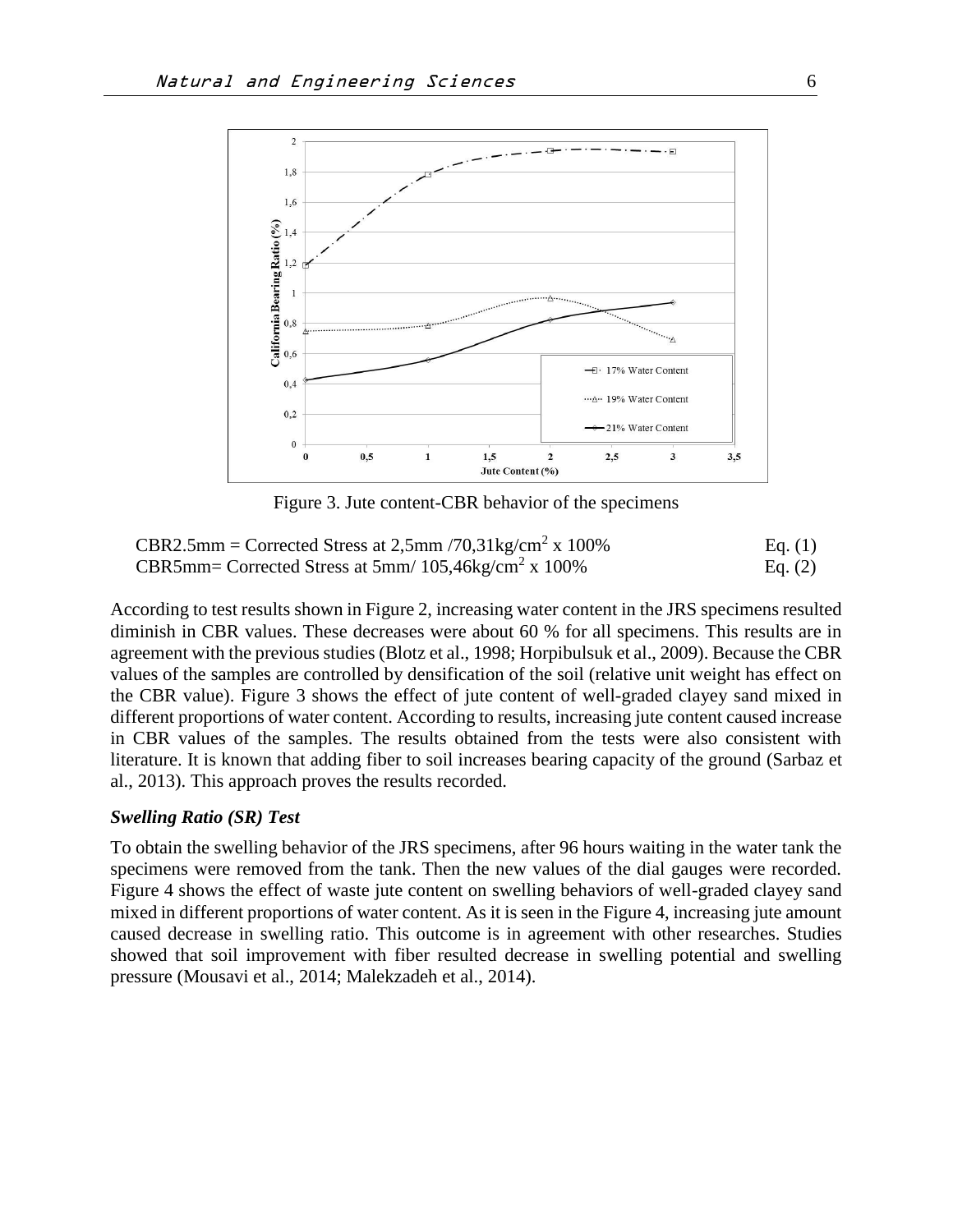

Figure 3. Jute content-CBR behavior of the specimens

| CBR2.5mm = Corrected Stress at 2,5mm /70,31kg/cm <sup>2</sup> x 100% | Eq. $(1)$ |
|----------------------------------------------------------------------|-----------|
| CBR5mm= Corrected Stress at 5mm/ $105,46\text{kg/cm}^2$ x $100\%$    | Eq. $(2)$ |

According to test results shown in Figure 2, increasing water content in the JRS specimens resulted diminish in CBR values. These decreases were about 60 % for all specimens. This results are in agreement with the previous studies (Blotz et al., 1998; Horpibulsuk et al., 2009). Because the CBR values of the samples are controlled by densification of the soil (relative unit weight has effect on the CBR value). Figure 3 shows the effect of jute content of well-graded clayey sand mixed in different proportions of water content. According to results, increasing jute content caused increase in CBR values of the samples. The results obtained from the tests were also consistent with literature. It is known that adding fiber to soil increases bearing capacity of the ground (Sarbaz et al., 2013). This approach proves the results recorded.

#### *Swelling Ratio (SR) Test*

To obtain the swelling behavior of the JRS specimens, after 96 hours waiting in the water tank the specimens were removed from the tank. Then the new values of the dial gauges were recorded. Figure 4 shows the effect of waste jute content on swelling behaviors of well-graded clayey sand mixed in different proportions of water content. As it is seen in the Figure 4, increasing jute amount caused decrease in swelling ratio. This outcome is in agreement with other researches. Studies showed that soil improvement with fiber resulted decrease in swelling potential and swelling pressure (Mousavi et al., 2014; Malekzadeh et al., 2014).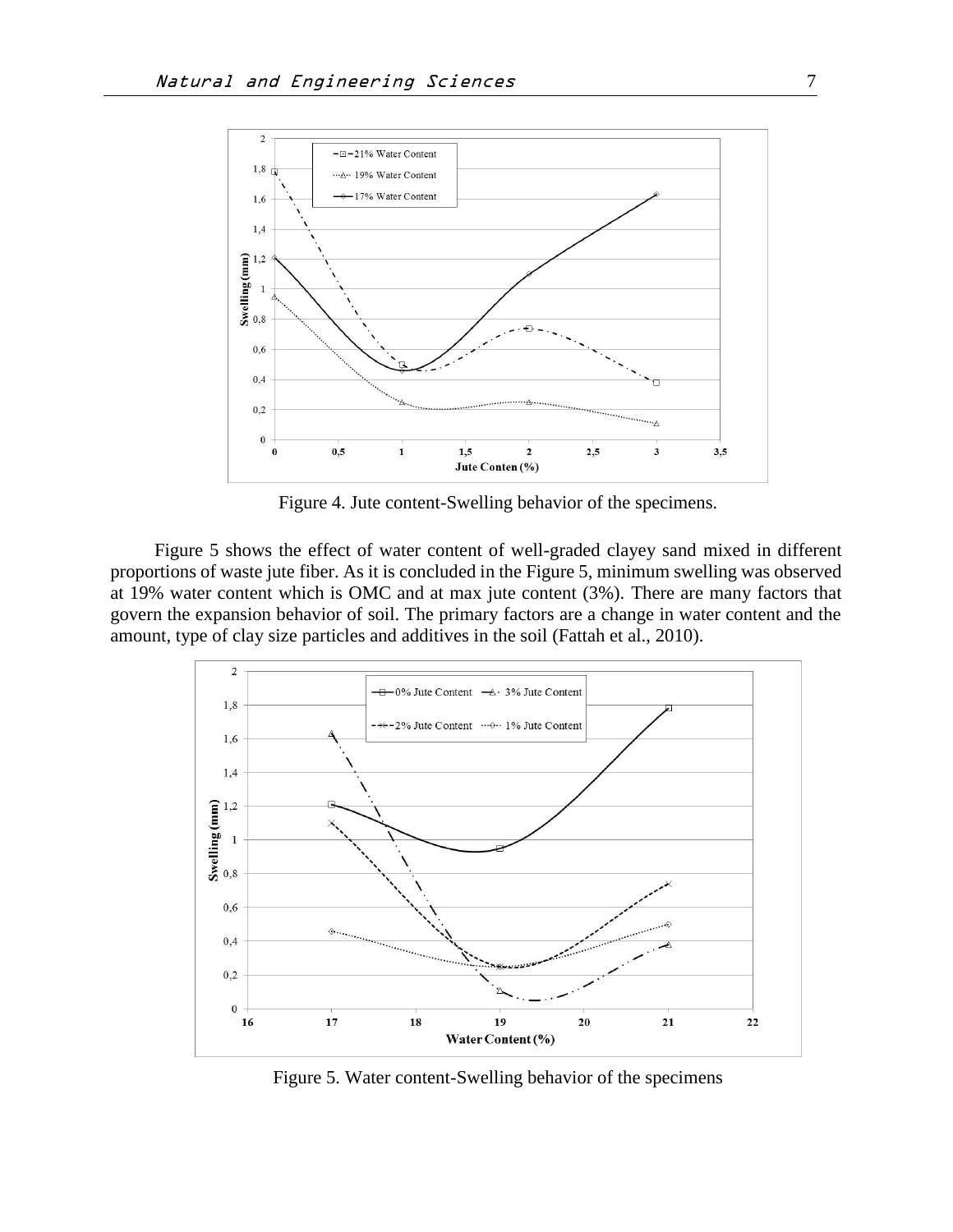

Figure 4. Jute content-Swelling behavior of the specimens.

Figure 5 shows the effect of water content of well-graded clayey sand mixed in different proportions of waste jute fiber. As it is concluded in the Figure 5, minimum swelling was observed at 19% water content which is OMC and at max jute content (3%). There are many factors that govern the expansion behavior of soil. The primary factors are a change in water content and the amount, type of clay size particles and additives in the soil (Fattah et al., 2010).



Figure 5. Water content-Swelling behavior of the specimens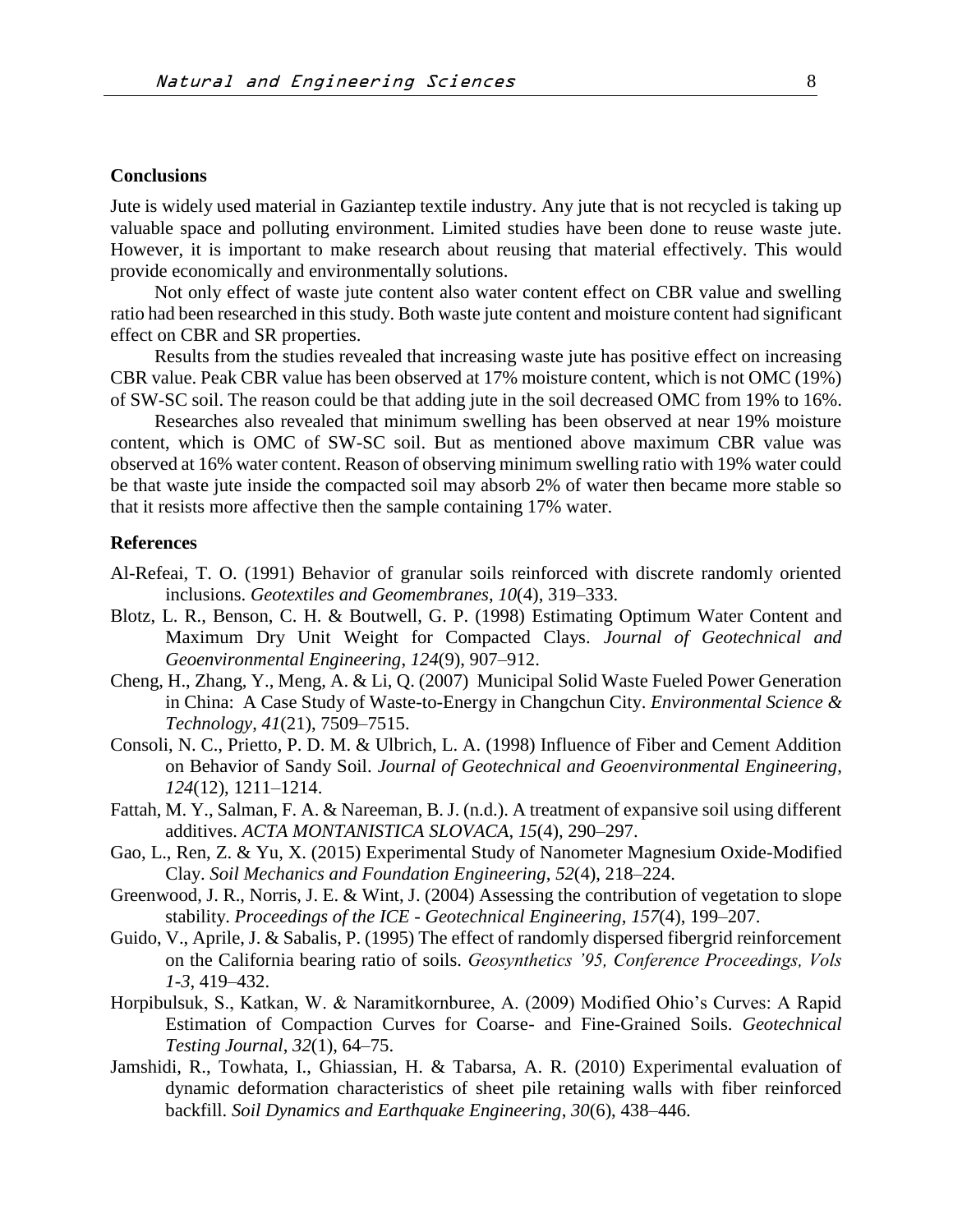# **Conclusions**

Jute is widely used material in Gaziantep textile industry. Any jute that is not recycled is taking up valuable space and polluting environment. Limited studies have been done to reuse waste jute. However, it is important to make research about reusing that material effectively. This would provide economically and environmentally solutions.

Not only effect of waste jute content also water content effect on CBR value and swelling ratio had been researched in this study. Both waste jute content and moisture content had significant effect on CBR and SR properties.

Results from the studies revealed that increasing waste jute has positive effect on increasing CBR value. Peak CBR value has been observed at 17% moisture content, which is not OMC (19%) of SW-SC soil. The reason could be that adding jute in the soil decreased OMC from 19% to 16%.

Researches also revealed that minimum swelling has been observed at near 19% moisture content, which is OMC of SW-SC soil. But as mentioned above maximum CBR value was observed at 16% water content. Reason of observing minimum swelling ratio with 19% water could be that waste jute inside the compacted soil may absorb 2% of water then became more stable so that it resists more affective then the sample containing 17% water.

#### **References**

- Al-Refeai, T. O. (1991) Behavior of granular soils reinforced with discrete randomly oriented inclusions. *Geotextiles and Geomembranes*, *10*(4), 319–333.
- Blotz, L. R., Benson, C. H. & Boutwell, G. P. (1998) Estimating Optimum Water Content and Maximum Dry Unit Weight for Compacted Clays. *Journal of Geotechnical and Geoenvironmental Engineering*, *124*(9), 907–912.
- Cheng, H., Zhang, Y., Meng, A. & Li, Q. (2007) Municipal Solid Waste Fueled Power Generation in China: A Case Study of Waste-to-Energy in Changchun City. *Environmental Science & Technology*, *41*(21), 7509–7515.
- Consoli, N. C., Prietto, P. D. M. & Ulbrich, L. A. (1998) Influence of Fiber and Cement Addition on Behavior of Sandy Soil. *Journal of Geotechnical and Geoenvironmental Engineering*, *124*(12), 1211–1214.
- Fattah, M. Y., Salman, F. A. & Nareeman, B. J. (n.d.). A treatment of expansive soil using different additives. *ACTA MONTANISTICA SLOVACA*, *15*(4), 290–297.
- Gao, L., Ren, Z. & Yu, X. (2015) Experimental Study of Nanometer Magnesium Oxide-Modified Clay. *Soil Mechanics and Foundation Engineering*, *52*(4), 218–224.
- Greenwood, J. R., Norris, J. E. & Wint, J. (2004) Assessing the contribution of vegetation to slope stability. *Proceedings of the ICE - Geotechnical Engineering*, *157*(4), 199–207.
- Guido, V., Aprile, J. & Sabalis, P. (1995) The effect of randomly dispersed fibergrid reinforcement on the California bearing ratio of soils. *Geosynthetics '95, Conference Proceedings, Vols 1-3*, 419–432.
- Horpibulsuk, S., Katkan, W. & Naramitkornburee, A. (2009) Modified Ohio's Curves: A Rapid Estimation of Compaction Curves for Coarse- and Fine-Grained Soils. *Geotechnical Testing Journal*, *32*(1), 64–75.
- Jamshidi, R., Towhata, I., Ghiassian, H. & Tabarsa, A. R. (2010) Experimental evaluation of dynamic deformation characteristics of sheet pile retaining walls with fiber reinforced backfill. *Soil Dynamics and Earthquake Engineering*, *30*(6), 438–446.